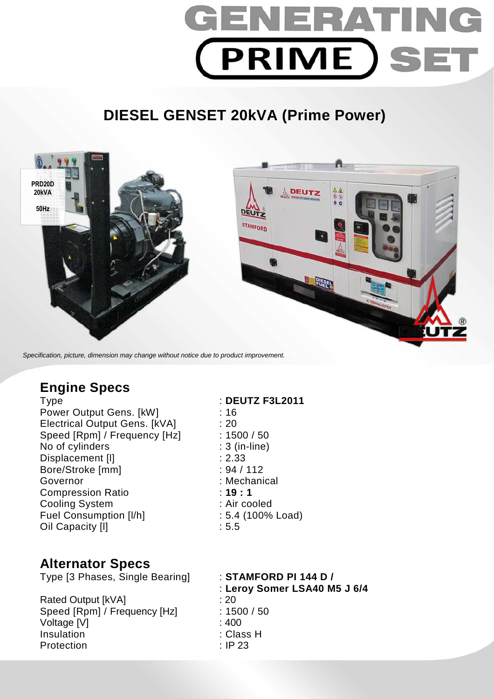

# **DIESEL GENSET 20kVA (Prime Power)**



Specification, picture, dimension may change without notice due to product improvement.

# **Engine Specs**

Power Output Gens. [kW] : 16 Electrical Output Gens. [kVA] : 20 Speed [Rpm] / Frequency [Hz] : 1500 / 50 No of cylinders : 3 (in-line) Displacement [I] 2.33 Bore/Stroke [mm] : 94 / 112 Governor : Mechanical Compression Ratio : **19 : 1**  Cooling System : Air cooled Fuel Consumption [I/h] : 5.4 (100% Load) Oil Capacity [I] 3.5

# Type : **DEUTZ F3L2011**

## **Alternator Specs**

Type [3 Phases, Single Bearing] : **STAMFORD PI 144 D /** 

Rated Output [kVA] : 20 Speed [Rpm] / Frequency [Hz] : 1500 / 50 Voltage [V] : 400 Insulation : Class H Protection : IP 23

: **Leroy Somer LSA40 M5 J 6/4**